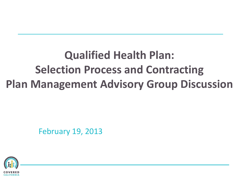## **Qualified Health Plan: Selection Process and Contracting Plan Management Advisory Group Discussion**

February 19, 2013

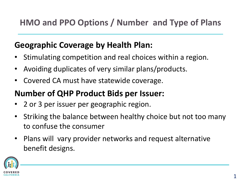### **Geographic Coverage by Health Plan:**

- Stimulating competition and real choices within a region.
- Avoiding duplicates of very similar plans/products.
- Covered CA must have statewide coverage.

#### **Number of QHP Product Bids per Issuer:**

- 2 or 3 per issuer per geographic region.
- Striking the balance between healthy choice but not too many to confuse the consumer
- Plans will vary provider networks and request alternative benefit designs.

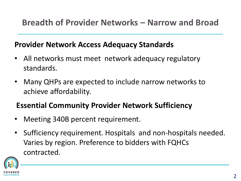#### **Provider Network Access Adequacy Standards**

- All networks must meet network adequacy regulatory standards.
- Many QHPs are expected to include narrow networks to achieve affordability.

#### **Essential Community Provider Network Sufficiency**

- Meeting 340B percent requirement.
- Sufficiency requirement. Hospitals and non-hospitals needed. Varies by region. Preference to bidders with FQHCs contracted.

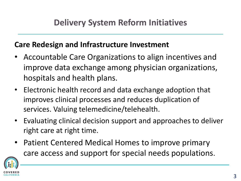#### **Care Redesign and Infrastructure Investment**

- Accountable Care Organizations to align incentives and improve data exchange among physician organizations, hospitals and health plans.
- Electronic health record and data exchange adoption that improves clinical processes and reduces duplication of services. Valuing telemedicine/telehealth.
- Evaluating clinical decision support and approaches to deliver right care at right time.
- Patient Centered Medical Homes to improve primary care access and support for special needs populations.

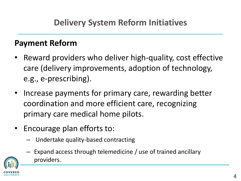#### **Payment Reform**

- Reward providers who deliver high-quality, cost effective care (delivery improvements, adoption of technology, e.g., e-prescribing).
- Increase payments for primary care, rewarding better coordination and more efficient care, recognizing primary care medical home pilots.
- Encourage plan efforts to:
	- Undertake quality-based contracting
	- Expand access through telemedicine / use of trained ancillary providers.

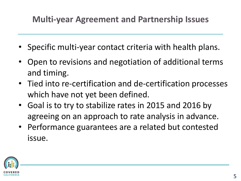## **Multi-year Agreement and Partnership Issues**

- Specific multi-year contact criteria with health plans.
- Open to revisions and negotiation of additional terms and timing.
- Tied into re-certification and de-certification processes which have not yet been defined.
- Goal is to try to stabilize rates in 2015 and 2016 by agreeing on an approach to rate analysis in advance.
- Performance guarantees are a related but contested issue.

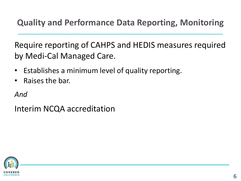**Quality and Performance Data Reporting, Monitoring**

Require reporting of CAHPS and HEDIS measures required by Medi-Cal Managed Care.

- Establishes a minimum level of quality reporting.
- Raises the bar.

*And*

Interim NCQA accreditation

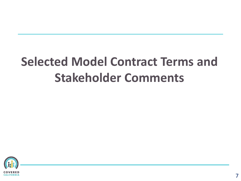# **Selected Model Contract Terms and Stakeholder Comments**

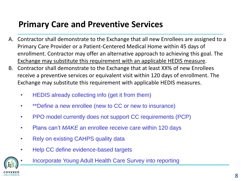## **Primary Care and Preventive Services**

- A. Contractor shall demonstrate to the Exchange that all new Enrollees are assigned to a Primary Care Provider or a Patient-Centered Medical Home within 45 days of enrollment. Contractor may offer an alternative approach to achieving this goal. The Exchange may substitute this requirement with an applicable HEDIS measure.
- B. Contractor shall demonstrate to the Exchange that at least XX% of new Enrollees receive a preventive services or equivalent visit within 120 days of enrollment. The Exchange may substitute this requirement with applicable HEDIS measures.
	- HEDIS already collecting info (get it from them)
	- \*\*Define a new enrollee (new to CC or new to insurance)
	- PPO model currently does not support CC requirements (PCP)
	- Plans can't *MAKE* an enrollee receive care within 120 days
	- Rely on existing CAHPS quality data
	- Help CC define evidence-based targets



• Incorporate Young Adult Health Care Survey into reporting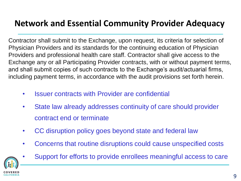### **Network and Essential Community Provider Adequacy**

Contractor shall submit to the Exchange, upon request, its criteria for selection of Physician Providers and its standards for the continuing education of Physician Providers and professional health care staff. Contractor shall give access to the Exchange any or all Participating Provider contracts, with or without payment terms, and shall submit copies of such contracts to the Exchange's audit/actuarial firms, including payment terms, in accordance with the audit provisions set forth herein.

- Issuer contracts with Provider are confidential
- State law already addresses continuity of care should provider contract end or terminate
- CC disruption policy goes beyond state and federal law
- Concerns that routine disruptions could cause unspecified costs



• Support for efforts to provide enrollees meaningful access to care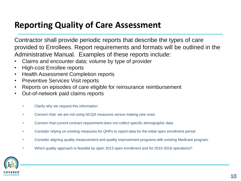#### **Reporting Quality of Care Assessment**

Contractor shall provide periodic reports that describe the types of care provided to Enrollees. Report requirements and formats will be outlined in the Administrative Manual. Examples of these reports include:

- Claims and encounter data; volume by type of provider
- High-cost Enrollee reports
- Health Assessment Completion reports
- Preventive Services Visit reports
- Reports on episodes of care eligible for reinsurance reimbursement
- Out-of-network paid claims reports
	- Clarify why we request this information
	- Concern that we are not using NCQA measures versus making new ones
	- Concern that current contract requirement does not collect specific demographic data
	- Consider relying on existing measures for QHPs to report data for the initial open enrollment period.
	- Consider aligning quality measurement and quality improvement programs with existing Medicare program.
	- Which quality approach is feasible by open 2013 open enrollment and for 2015-2016 operations?